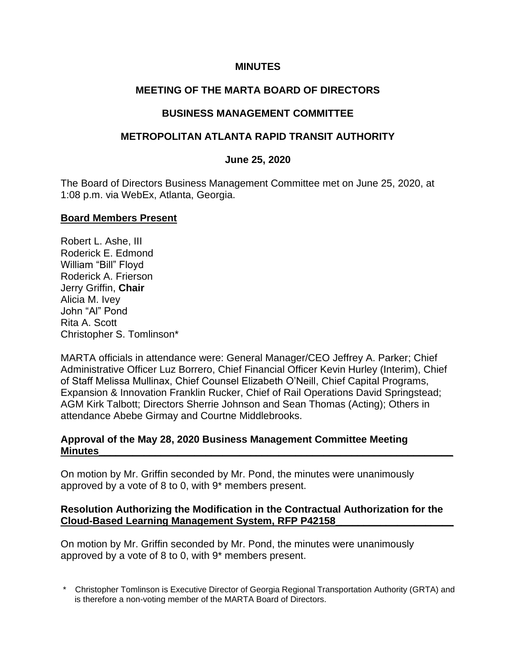## **MINUTES**

# **MEETING OF THE MARTA BOARD OF DIRECTORS**

## **BUSINESS MANAGEMENT COMMITTEE**

## **METROPOLITAN ATLANTA RAPID TRANSIT AUTHORITY**

#### **June 25, 2020**

The Board of Directors Business Management Committee met on June 25, 2020, at 1:08 p.m. via WebEx, Atlanta, Georgia.

#### **Board Members Present**

Robert L. Ashe, III Roderick E. Edmond William "Bill" Floyd Roderick A. Frierson Jerry Griffin, **Chair** Alicia M. Ivey John "Al" Pond Rita A. Scott Christopher S. Tomlinson\*

MARTA officials in attendance were: General Manager/CEO Jeffrey A. Parker; Chief Administrative Officer Luz Borrero, Chief Financial Officer Kevin Hurley (Interim), Chief of Staff Melissa Mullinax, Chief Counsel Elizabeth O'Neill, Chief Capital Programs, Expansion & Innovation Franklin Rucker, Chief of Rail Operations David Springstead; AGM Kirk Talbott; Directors Sherrie Johnson and Sean Thomas (Acting); Others in attendance Abebe Girmay and Courtne Middlebrooks.

## **Approval of the May 28, 2020 Business Management Committee Meeting Minutes\_\_\_\_\_\_\_\_\_\_\_\_\_\_\_\_\_\_\_\_\_\_\_\_\_\_\_\_\_\_\_\_\_\_\_\_\_\_\_\_\_\_\_\_\_\_\_\_\_\_\_\_\_\_\_\_\_\_\_\_\_\_\_**

On motion by Mr. Griffin seconded by Mr. Pond, the minutes were unanimously approved by a vote of 8 to 0, with 9\* members present.

## **Resolution Authorizing the Modification in the Contractual Authorization for the Cloud-Based Learning Management System, RFP P42158\_\_\_\_\_\_\_\_\_\_\_\_\_\_\_\_\_\_\_\_\_**

On motion by Mr. Griffin seconded by Mr. Pond, the minutes were unanimously approved by a vote of 8 to 0, with 9\* members present.

\* Christopher Tomlinson is Executive Director of Georgia Regional Transportation Authority (GRTA) and is therefore a non-voting member of the MARTA Board of Directors.